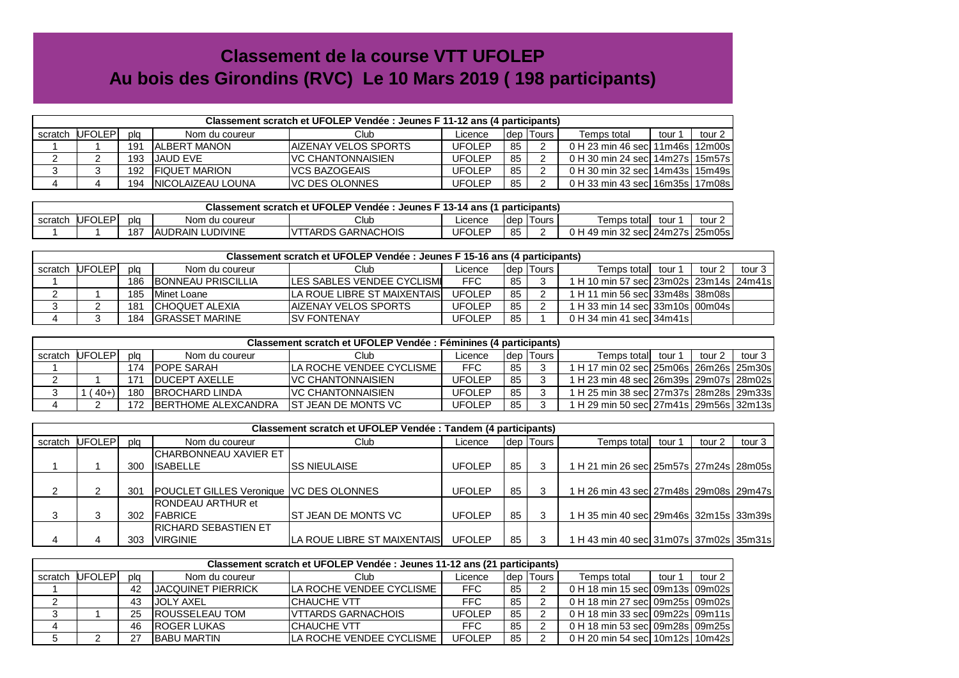## **Classement de la course VTT UFOLEPAu bois des Girondins (RVC) Le 10 Mars 2019 ( 198 participants)**

|         | Classement scratch et UFOLEP Vendée : Jeunes F 11-12 ans (4 participants) |     |                      |                           |               |            |         |                                      |        |        |  |  |
|---------|---------------------------------------------------------------------------|-----|----------------------|---------------------------|---------------|------------|---------|--------------------------------------|--------|--------|--|--|
| scratch | <b>UFOLEP</b>                                                             | pla | Nom du coureur       | Club                      | Licence       | <b>dep</b> | l Tours | Temps total                          | tour 1 | tour 2 |  |  |
|         |                                                                           | 191 | IALBERT MANON        | IAIZENAY VELOS SPORTS     | <b>UFOLEP</b> | 85         |         | 0 H 23 min 46 secl 11m46s l 12m00s l |        |        |  |  |
|         |                                                                           | 193 | <b>JAUD EVE</b>      | <b>IVC CHANTONNAISIEN</b> | <b>UFOLEP</b> | 85         |         | 0 H 30 min 24 secl 14m27s l 15m57s l |        |        |  |  |
|         |                                                                           | 192 | <b>FIQUET MARION</b> | IVCS BAZOGEAIS            | <b>UFOLEP</b> | 85         |         | 0 H 30 min 32 secl 14m43s l 15m49s l |        |        |  |  |
|         |                                                                           | 194 | INICOLAIZEAU LOUNA   | <b>IVC DES OLONNES</b>    | <b>UFOLEP</b> | 85         |         | 0 H 33 min 43 secl 16m35s l 17m08s l |        |        |  |  |

| Classement scratch et UFOLEP Vendée :<br>. Jeunes F 13-14 ans (1<br>participants) |               |     |                          |                            |         |     |       |                                      |        |  |  |  |
|-----------------------------------------------------------------------------------|---------------|-----|--------------------------|----------------------------|---------|-----|-------|--------------------------------------|--------|--|--|--|
| scratch                                                                           | <b>UFOLEP</b> | pic | Nom du coureur           | Club                       | ∟icence | dep | Tours | Temps totall<br>tour :               | tour 2 |  |  |  |
|                                                                                   |               | 187 | <b>JAUDRAIN LUDIVINE</b> | GARNACHOIS<br><b>FARDS</b> | UFOLEP  | 85  |       | 0 H 49 min 32 secl 24m27s l 25m05s l |        |  |  |  |

| Classement scratch et UFOLEP Vendée : Jeunes F 15-16 ans (4 participants) |         |     |                            |                                     |               |        |         |                                             |        |        |        |  |
|---------------------------------------------------------------------------|---------|-----|----------------------------|-------------------------------------|---------------|--------|---------|---------------------------------------------|--------|--------|--------|--|
| scratch                                                                   | UFOLEPI | pla | Nom du coureur             | Club                                | Licence       | Idep I | Tours I | Temps totall                                | tour 1 | tour 2 | tour 3 |  |
|                                                                           |         | 186 | <b>IBONNEAU PRISCILLIA</b> | <b>ILES SABLES VENDEE CYCLISMI</b>  | <b>FFC</b>    | 85     |         | 1 H 10 min 57 sec  23m02s   23m14s   24m41s |        |        |        |  |
|                                                                           |         | 185 | Minet Loane                | <b>LA ROUE LIBRE ST MAIXENTAIS.</b> | <b>UFOLEP</b> | 85     |         | H 11 min 56 sec 33m48s 38m08s               |        |        |        |  |
|                                                                           |         | 181 | <b>ICHOQUET ALEXIA</b>     | IAIZENAY VELOS SPORTS               | <b>UFOLEP</b> | 85     |         | 1 H 33 min 14 secl 33m10s l 00m04s l        |        |        |        |  |
|                                                                           |         | 184 | IGRASSET MARINE            | <b>ISV FONTENAY</b>                 | <b>UFOLEP</b> | 85     |         | 0 H 34 min 41 secl 34m41s l                 |        |        |        |  |

| Classement scratch et UFOLEP Vendée : Féminines (4 participants) |         |     |                             |                           |         |      |       |                                             |        |        |        |  |
|------------------------------------------------------------------|---------|-----|-----------------------------|---------------------------|---------|------|-------|---------------------------------------------|--------|--------|--------|--|
| scratch                                                          | UFOLEPI | pla | Nom du coureur              | Club                      | _icence | Idep | Tours | Temps totall                                | tour 1 | tour 2 | tour 3 |  |
|                                                                  |         | '74 | <b>IPOPE SARAH</b>          | ILA ROCHE VENDEE CYCLISME | FFC     | 85   |       | 1 H 17 min 02 secl 25m06s 26m26s 25m30s l   |        |        |        |  |
|                                                                  |         | 171 | <b>IDUCEPT AXELLE</b>       | IVC CHANTONNAISIEN        | UFOLEP  | 85   |       | 1 H 23 min 48 secl 26m39s 29m07s 28m02s l   |        |        |        |  |
|                                                                  | $40+$   | 180 | <b>IBROCHARD LINDA</b>      | <b>IVC CHANTONNAISIEN</b> | UFOLEP  | 85   |       | 1 H 25 min 38 secl 27m37s 28m28s 29m33s l   |        |        |        |  |
|                                                                  |         | 172 | <b>IBERTHOME ALEXCANDRA</b> | IST JEAN DE MONTS VC      | UFOLEP  | 85   |       | 1 H 29 min 50 sec  27m41s   29m56s   32m13s |        |        |        |  |

|         | Classement scratch et UFOLEP Vendée : Tandem (4 participants) |     |                                                |                             |               |    |             |                                             |        |        |        |  |  |
|---------|---------------------------------------------------------------|-----|------------------------------------------------|-----------------------------|---------------|----|-------------|---------------------------------------------|--------|--------|--------|--|--|
| scratch | UFOLEPI                                                       | pla | Nom du coureur                                 | Club                        | Licence       |    | dep   Tours | Temps total                                 | tour 1 | tour 2 | tour 3 |  |  |
|         |                                                               |     | <b>CHARBONNEAU XAVIER ET</b>                   |                             |               |    |             |                                             |        |        |        |  |  |
|         |                                                               | 300 | <b>ISABELLE</b>                                | <b>ISS NIEULAISE</b>        | UFOLEP        | 85 |             | H 21 min 26 sec 25m57s 27m24s 28m05s        |        |        |        |  |  |
|         |                                                               |     |                                                |                             |               |    |             |                                             |        |        |        |  |  |
|         | ົ                                                             | 301 | <b>POUCLET GILLES Veronique VC DES OLONNES</b> |                             | UFOLEP        | 85 |             | H 26 min 43 sec 27m48s 29m08s 29m47s        |        |        |        |  |  |
|         |                                                               |     | <b>RONDEAU ARTHUR et</b>                       |                             |               |    |             |                                             |        |        |        |  |  |
|         | 3                                                             | 302 | <b>IFABRICE</b>                                | <b>IST JEAN DE MONTS VC</b> | <b>UFOLEP</b> | 85 |             | 1 H 35 min 40 sec  29m46s   32m15s   33m39s |        |        |        |  |  |
|         |                                                               |     | <b>IRICHARD SEBASTIEN ET</b>                   |                             |               |    |             |                                             |        |        |        |  |  |
| 4       |                                                               | 303 | <b>VIRGINIE</b>                                | LA ROUE LIBRE ST MAIXENTAIS | <b>UFOLEP</b> | 85 |             | H 43 min 40 sec 31m07s 37m02s 35m31s        |        |        |        |  |  |

| Classement scratch et UFOLEP Vendée : Jeunes 11-12 ans (21 participants) |                |     |                            |                                  |            |    |             |                                      |        |        |  |  |
|--------------------------------------------------------------------------|----------------|-----|----------------------------|----------------------------------|------------|----|-------------|--------------------------------------|--------|--------|--|--|
|                                                                          | scratch UFOLEP | pla | Nom du coureur             | Club                             | Licence    |    | dep   Tours | Temps total                          | tour 1 | tour 2 |  |  |
|                                                                          |                | 42  | <b>IJACQUINET PIERRICK</b> | <b>ILA ROCHE VENDEE CYCLISME</b> | <b>FFC</b> | 85 |             | 0 H 18 min 15 secl 09m13s 09m02s     |        |        |  |  |
|                                                                          |                | 43  | IJOLY AXEL                 | ICHAUCHE VTT                     | <b>FFC</b> | 85 |             | 0 H 18 min 27 secl 09m25s 09m02s     |        |        |  |  |
|                                                                          |                | 25  | <b>IROUSSELEAU TOM</b>     | <b>VTTARDS GARNACHOIS</b>        | UFOI FP    | 85 |             | 0 H 18 min 33 sec 09m22s 09m11s      |        |        |  |  |
|                                                                          |                | 46  | <b>IROGER LUKAS</b>        | <b>ICHAUCHE VTT</b>              | <b>FFC</b> | 85 |             | 0 H 18 min 53 secl 09m28s l 09m25s l |        |        |  |  |
|                                                                          |                | ົ   | <b>BABU MARTIN</b>         | ILA ROCHE VENDEE CYCLISME        | UFOLEP     | 85 |             | 0 H 20 min 54 sec 10m12s 10m42s      |        |        |  |  |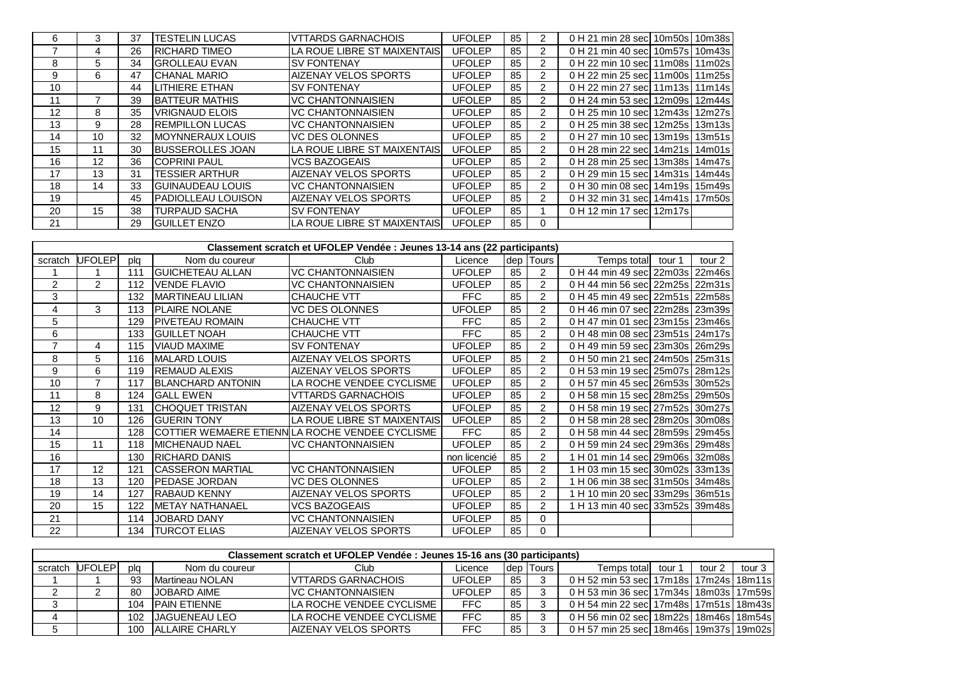| 6  | 3  | 37 | ITESTELIN LUCAS           | IVTTARDS GARNACHOIS                  | <b>UFOLEP</b> | 85 |               | 0 H 21 min 28 sec 10m50s 10m38s    |  |
|----|----|----|---------------------------|--------------------------------------|---------------|----|---------------|------------------------------------|--|
|    | 4  | 26 | <b>IRICHARD TIMEO</b>     | ILA ROUE LIBRE ST MAIXENTAISI        | <b>UFOLEP</b> | 85 |               | 0 H 21 min 40 sec 10m57s 10m43s    |  |
| 8  | 5  | 34 | <b>GROLLEAU EVAN</b>      | <b>SV FONTENAY</b>                   | <b>UFOLEP</b> | 85 | $\mathcal{P}$ | 0 H 22 min 10 sec 11m08s 11m02s    |  |
| 9  | 6  | 47 | <b>CHANAL MARIO</b>       | <b>AIZENAY VELOS SPORTS</b>          | <b>UFOLEP</b> | 85 | $\mathcal{P}$ | 0 H 22 min 25 sec 11m00s 11m25s    |  |
| 10 |    | 44 | <b>LITHIERE ETHAN</b>     | <b>SV FONTENAY</b>                   | <b>UFOLEP</b> | 85 |               | 0 H 22 min 27 sec 11m13s 11m14s    |  |
| 11 |    | 39 | <b>BATTEUR MATHIS</b>     | IVC CHANTONNAISIEN                   | <b>UFOLEP</b> | 85 |               | 0 H 24 min 53 sec 12m09s 12m44s    |  |
| 12 | 8  | 35 | <b>IVRIGNAUD ELOIS</b>    | IVC CHANTONNAISIEN                   | <b>UFOLEP</b> | 85 |               | 0 H 25 min 10 sec 12m43s 12m27s    |  |
| 13 | 9  | 28 | <b>IREMPILLON LUCAS</b>   | IVC CHANTONNAISIEN                   | <b>UFOLEP</b> | 85 |               | 0 H 25 min 38 sec 12m25s 13m13s    |  |
| 14 | 10 | 32 | <b>IMOYNNERAUX LOUIS</b>  | IVC DES OLONNES                      | <b>UFOLEP</b> | 85 | $\mathcal{P}$ | 0 H 27 min 10 sec 13m19s 13m51s    |  |
| 15 | 11 | 30 | <b>BUSSEROLLES JOAN</b>   | ILA ROUE LIBRE ST MAIXENTAISI        | <b>UFOLEP</b> | 85 | $\mathcal{P}$ | 0 H 28 min 22 sec 14m21s 14m01s    |  |
| 16 | 12 | 36 | <b>COPRINI PAUL</b>       | <b>VCS BAZOGEAIS</b>                 | <b>UFOLEP</b> | 85 | $\mathcal{P}$ | 0 H 28 min 25 sec 13m38s 14m47s    |  |
| 17 | 13 | 31 | ITESSIER ARTHUR           | <b>AIZENAY VELOS SPORTS</b>          | <b>UFOLEP</b> | 85 |               | 0 H 29 min 15 secl 14m31s   14m44s |  |
| 18 | 14 | 33 | <b>IGUINAUDEAU LOUIS</b>  | <b>VC CHANTONNAISIEN</b>             | <b>UFOLEP</b> | 85 |               | 0 H 30 min 08 sec 14m19s 15m49s    |  |
| 19 |    | 45 | <b>PADIOLLEAU LOUISON</b> | IAIZENAY VELOS SPORTS                | <b>UFOLEP</b> | 85 | $\mathcal{P}$ | 0 H 32 min 31 sec 14m41s 17m50s    |  |
| 20 | 15 | 38 | <b>TURPAUD SACHA</b>      | <b>ISV FONTENAY</b>                  | <b>UFOLEP</b> | 85 |               | 0 H 12 min 17 sec 12m17s           |  |
| 21 |    | 29 | <b>IGUILLET ENZO</b>      | <b>ILA ROUE LIBRE ST MAIXENTAISI</b> | <b>UFOLEP</b> | 85 | 0             |                                    |  |

| Classement scratch et UFOLEP Vendée : Jeunes 13-14 ans (22 participants) |        |     |                          |                                                  |               |    |                |                                 |        |        |  |
|--------------------------------------------------------------------------|--------|-----|--------------------------|--------------------------------------------------|---------------|----|----------------|---------------------------------|--------|--------|--|
| scratch                                                                  | UFOLEP | plq | Nom du coureur           | Club                                             | Licence       |    | dep Tours      | Temps total                     | tour 1 | tour 2 |  |
|                                                                          |        | 111 | <b>IGUICHETEAU ALLAN</b> | <b>VC CHANTONNAISIEN</b>                         | <b>UFOLEP</b> | 85 | $\overline{2}$ | 0 H 44 min 49 sec 22m03s 22m46s |        |        |  |
| 2                                                                        | 2      | 112 | <b>VENDE FLAVIO</b>      | <b>VC CHANTONNAISIEN</b>                         | <b>UFOLEP</b> | 85 | 2              | 0 H 44 min 56 sec 22m25s 22m31s |        |        |  |
| 3                                                                        |        | 132 | <b>IMARTINEAU LILIAN</b> | CHAUCHE VTT                                      | FFC           | 85 | 2              | 0 H 45 min 49 sec 22m51s 22m58s |        |        |  |
| 4                                                                        | 3      | 113 | <b>PLAIRE NOLANE</b>     | VC DES OLONNES                                   | <b>UFOLEP</b> | 85 | 2              | 0 H 46 min 07 sec 22m28s 23m39s |        |        |  |
| 5                                                                        |        | 129 | <b>IPIVETEAU ROMAIN</b>  | <b>CHAUCHE VTT</b>                               | FFC           | 85 | 2              | 0 H 47 min 01 sec 23m15s 23m46s |        |        |  |
| 6                                                                        |        | 133 | <b>GUILLET NOAH</b>      | CHAUCHE VTT                                      | FFC           | 85 | 2              | 0 H 48 min 08 sec 23m51s 24m17s |        |        |  |
| $\overline{7}$                                                           | 4      | 115 | <b>VIAUD MAXIME</b>      | <b>SV FONTENAY</b>                               | <b>UFOLEP</b> | 85 | 2              | 0 H 49 min 59 sec 23m30s 26m29s |        |        |  |
| 8                                                                        | 5      | 116 | <b>MALARD LOUIS</b>      | <b>AIZENAY VELOS SPORTS</b>                      | <b>UFOLEP</b> | 85 | 2              | 0 H 50 min 21 sec 24m50s 25m31s |        |        |  |
| 9                                                                        | 6      | 119 | <b>REMAUD ALEXIS</b>     | <b>AIZENAY VELOS SPORTS</b>                      | <b>UFOLEP</b> | 85 | 2              | 0 H 53 min 19 sec 25m07s 28m12s |        |        |  |
| 10                                                                       | 7      | 117 | <b>BLANCHARD ANTONIN</b> | LA ROCHE VENDEE CYCLISME                         | <b>UFOLEP</b> | 85 | 2              | 0 H 57 min 45 sec 26m53s 30m52s |        |        |  |
| 11                                                                       | 8      | 124 | <b>GALL EWEN</b>         | <b>VTTARDS GARNACHOIS</b>                        | <b>UFOLEP</b> | 85 | 2              | 0 H 58 min 15 sec 28m25s 29m50s |        |        |  |
| 12                                                                       | 9      | 131 | <b>ICHOQUET TRISTAN</b>  | AIZENAY VELOS SPORTS                             | <b>UFOLEP</b> | 85 | 2              | 0 H 58 min 19 sec 27m52s 30m27s |        |        |  |
| 13                                                                       | 10     | 126 | <b>GUERIN TONY</b>       | <b>ILA ROUE LIBRE ST MAIXENTAIS</b>              | <b>UFOLEP</b> | 85 | 2              | 0 H 58 min 28 sec 28m20s 30m08s |        |        |  |
| 14                                                                       |        | 128 |                          | ICOTTIER WEMAERE ETIENNILA ROCHE VENDEE CYCLISME | FFC           | 85 | 2              | 0 H 58 min 44 sec 28m59s 29m45s |        |        |  |
| 15                                                                       | 11     | 118 | <b>MICHENAUD NAEL</b>    | <b>VC CHANTONNAISIEN</b>                         | <b>UFOLEP</b> | 85 | 2              | 0 H 59 min 24 sec 29m36s 29m48s |        |        |  |
| 16                                                                       |        | 130 | <b>RICHARD DANIS</b>     |                                                  | non licencié  | 85 | 2              | 1 H 01 min 14 sec 29m06s 32m08s |        |        |  |
| 17                                                                       | 12     | 121 | <b>CASSERON MARTIAL</b>  | <b>VC CHANTONNAISIEN</b>                         | <b>UFOLEP</b> | 85 | $\overline{2}$ | 1 H 03 min 15 sec 30m02s 33m13s |        |        |  |
| 18                                                                       | 13     | 120 | <b>PEDASE JORDAN</b>     | <b>VC DES OLONNES</b>                            | <b>UFOLEP</b> | 85 | $\overline{2}$ | 1 H 06 min 38 sec 31m50s 34m48s |        |        |  |
| 19                                                                       | 14     | 127 | <b>RABAUD KENNY</b>      | <b>AIZENAY VELOS SPORTS</b>                      | <b>UFOLEP</b> | 85 | 2              | 1 H 10 min 20 sec 33m29s 36m51s |        |        |  |
| 20                                                                       | 15     | 122 | <b>METAY NATHANAEL</b>   | VCS BAZOGEAIS                                    | <b>UFOLEP</b> | 85 | 2              | 1 H 13 min 40 sec 33m52s 39m48s |        |        |  |
| 21                                                                       |        | 114 | JOBARD DANY              | <b>VC CHANTONNAISIEN</b>                         | <b>UFOLEP</b> | 85 | $\Omega$       |                                 |        |        |  |
| 22                                                                       |        | 134 | <b>TURCOT ELIAS</b>      | <b>AIZENAY VELOS SPORTS</b>                      | <b>UFOLEP</b> | 85 | 0              |                                 |        |        |  |

| Classement scratch et UFOLEP Vendée : Jeunes 15-16 ans (30 participants) |         |     |                        |                                  |               |    |             |                                             |  |        |          |  |
|--------------------------------------------------------------------------|---------|-----|------------------------|----------------------------------|---------------|----|-------------|---------------------------------------------|--|--------|----------|--|
| scratch                                                                  | UFOLEPI | pla | Nom du coureur         | Club                             | Licence       |    | dep   Tours | Temps totall tour 1                         |  | tour 2 | tour $3$ |  |
|                                                                          |         | 93  | Martineau NOLAN        | IVTTARDS GARNACHOIS              | <b>UFOLEP</b> | 85 |             | 0 H 52 min 53 sec 17m18s 17m24s 18m11s      |  |        |          |  |
|                                                                          |         | 80  | JOBARD AIME            | <b>IVC CHANTONNAISIEN</b>        | UFOLEP        | 85 |             | 0 H 53 min 36 sec 17m34s 18m03s 17m59s      |  |        |          |  |
|                                                                          |         | 104 | <b>IPAIN FTIFNNF</b>   | LA ROCHE VENDEE CYCLISME         | FFC.          | 85 |             | 0 H 54 min 22 secl 17m48s   17m51s   18m43s |  |        |          |  |
|                                                                          |         | 102 | <b>JAGUENEAU LEO</b>   | <b>ILA ROCHE VENDEE CYCLISME</b> | <b>FFC</b>    | 85 |             | 0 H 56 min 02 secl 18m22s   18m46s   18m54s |  |        |          |  |
|                                                                          |         | 100 | <b>IALLAIRE CHARLY</b> | <b>AIZENAY VELOS SPORTS</b>      | FFC           | 85 |             | 0 H 57 min 25 sec 18m46s 19m37s 19m02s      |  |        |          |  |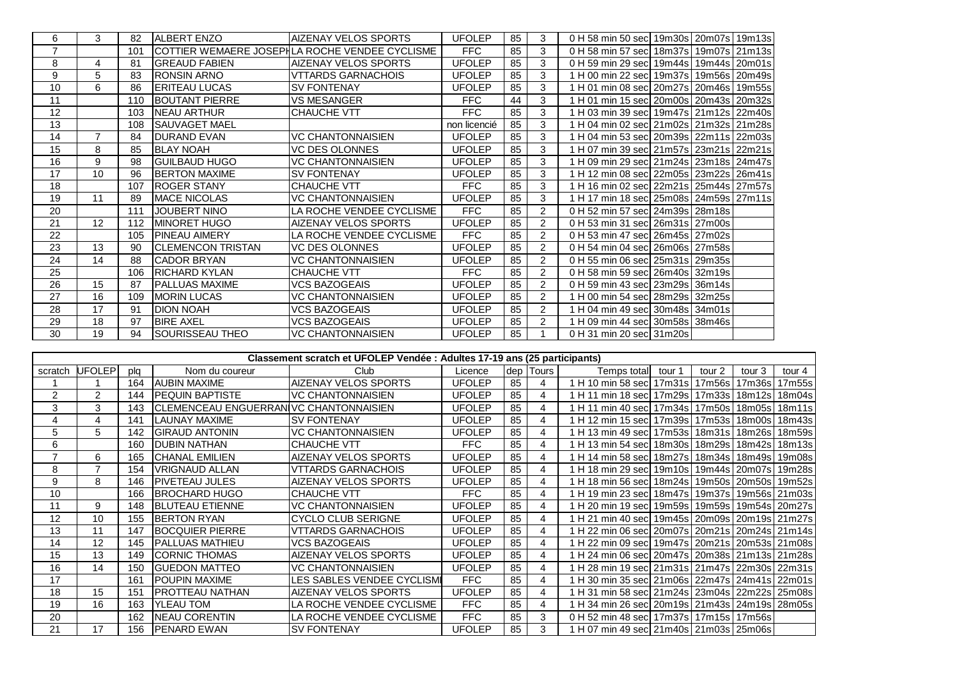| 6              | 3  | 82  | <b>ALBERT ENZO</b>       | AIZENAY VELOS SPORTS                           | <b>UFOLEP</b> | 85 | 3              | 0 H 58 min 50 sec 19m30s 20m07s 19m13s |  |  |
|----------------|----|-----|--------------------------|------------------------------------------------|---------------|----|----------------|----------------------------------------|--|--|
| $\overline{7}$ |    | 101 |                          | COTTIER WEMAERE JOSEPHLA ROCHE VENDEE CYCLISME | <b>FFC</b>    | 85 | 3              | 0 H 58 min 57 sec 18m37s 19m07s 21m13s |  |  |
| 8              | 4  | 81  | <b>IGREAUD FABIEN</b>    | <b>AIZENAY VELOS SPORTS</b>                    | <b>UFOLEP</b> | 85 | 3              | 0 H 59 min 29 sec 19m44s 19m44s 20m01s |  |  |
| 9              | 5  | 83  | <b>RONSIN ARNO</b>       | <b>VITARDS GARNACHOIS</b>                      | <b>UFOLEP</b> | 85 | 3              | 1 H 00 min 22 sec 19m37s 19m56s 20m49s |  |  |
| 10             | 6  | 86  | <b>ERITEAU LUCAS</b>     | <b>SV FONTENAY</b>                             | <b>UFOLEP</b> | 85 | 3              | 1 H 01 min 08 sec 20m27s 20m46s 19m55s |  |  |
| 11             |    | 110 | <b>BOUTANT PIERRE</b>    | <b>VS MESANGER</b>                             | <b>FFC</b>    | 44 | 3              | 1 H 01 min 15 sec 20m00s 20m43s 20m32s |  |  |
| 12             |    | 103 | <b>NEAU ARTHUR</b>       | <b>CHAUCHE VTT</b>                             | <b>FFC</b>    | 85 | 3              | 1 H 03 min 39 sec 19m47s 21m12s 22m40s |  |  |
| 13             |    | 108 | <b>SAUVAGET MAEL</b>     |                                                | non licencié  | 85 | 3              | 1 H 04 min 02 sec 21m02s 21m32s 21m28s |  |  |
| 14             |    | 84  | <b>DURAND EVAN</b>       | <b>VC CHANTONNAISIEN</b>                       | <b>UFOLEP</b> | 85 | 3              | 1 H 04 min 53 sec 20m39s 22m11s 22m03s |  |  |
| 15             | 8  | 85  | <b>BLAY NOAH</b>         | <b>VC DES OLONNES</b>                          | <b>UFOLEP</b> | 85 | 3              | 1 H 07 min 39 sec 21m57s 23m21s 22m21s |  |  |
| 16             | 9  | 98  | <b>IGUILBAUD HUGO</b>    | <b>VC CHANTONNAISIEN</b>                       | <b>UFOLEP</b> | 85 | 3              | 1 H 09 min 29 sec 21m24s 23m18s 24m47s |  |  |
| 17             | 10 | 96  | <b>BERTON MAXIME</b>     | <b>SV FONTENAY</b>                             | <b>UFOLEP</b> | 85 | 3              | 1 H 12 min 08 sec 22m05s 23m22s 26m41s |  |  |
| 18             |    | 107 | <b>ROGER STANY</b>       | <b>CHAUCHE VTT</b>                             | <b>FFC</b>    | 85 | 3              | 1 H 16 min 02 sec 22m21s 25m44s 27m57s |  |  |
| 19             | 11 | 89  | <b>MACE NICOLAS</b>      | <b>VC CHANTONNAISIEN</b>                       | <b>UFOLEP</b> | 85 | 3              | 1 H 17 min 18 sec 25m08s 24m59s 27m11s |  |  |
| 20             |    | 111 | <b>JOUBERT NINO</b>      | LA ROCHE VENDEE CYCLISME                       | <b>FFC</b>    | 85 | 2              | 0 H 52 min 57 sec 24m39s 28m18s        |  |  |
| 21             | 12 | 112 | <b>IMINORET HUGO</b>     | <b>AIZENAY VELOS SPORTS</b>                    | <b>UFOLEP</b> | 85 | 2              | 0 H 53 min 31 sec 26m31s 27m00s        |  |  |
| 22             |    | 105 | <b>PINEAU AIMERY</b>     | LA ROCHE VENDEE CYCLISME                       | <b>FFC</b>    | 85 | 2              | 0 H 53 min 47 sec 26m45s 27m02s        |  |  |
| 23             | 13 | 90  | <b>CLEMENCON TRISTAN</b> | <b>VC DES OLONNES</b>                          | <b>UFOLEP</b> | 85 | 2              | 0 H 54 min 04 sec 26m06s 27m58s        |  |  |
| 24             | 14 | 88  | <b>CADOR BRYAN</b>       | <b>VC CHANTONNAISIEN</b>                       | <b>UFOLEP</b> | 85 | 2              | 0 H 55 min 06 sec 25m31s 29m35s        |  |  |
| 25             |    | 106 | IRICHARD KYLAN           | CHAUCHE VTT                                    | <b>FFC</b>    | 85 | 2              | 0 H 58 min 59 sec 26m40s 32m19s        |  |  |
| 26             | 15 | 87  | <b>PALLUAS MAXIME</b>    | <b>VCS BAZOGEAIS</b>                           | <b>UFOLEP</b> | 85 | 2              | 0 H 59 min 43 sec 23m29s 36m14s        |  |  |
| 27             | 16 | 109 | <b>MORIN LUCAS</b>       | <b>VC CHANTONNAISIEN</b>                       | <b>UFOLEP</b> | 85 | 2              | 1 H 00 min 54 sec 28m29s 32m25s        |  |  |
| 28             | 17 | 91  | <b>DION NOAH</b>         | <b>VCS BAZOGEAIS</b>                           | UFOLEP        | 85 | $\overline{2}$ | 1 H 04 min 49 sec 30m48s 34m01s        |  |  |
| 29             | 18 | 97  | <b>BIRE AXEL</b>         | <b>VCS BAZOGEAIS</b>                           | UFOLEP        | 85 | $\overline{2}$ | 1 H 09 min 44 sec 30m58s 38m46s        |  |  |
| 30             | 19 | 94  | <b>SOURISSEAU THEO</b>   | <b>VC CHANTONNAISIEN</b>                       | UFOLEP        | 85 |                | 0 H 31 min 20 sec 31m20s               |  |  |

| Classement scratch et UFOLEP Vendée : Adultes 17-19 ans (25 participants) |  |
|---------------------------------------------------------------------------|--|
|---------------------------------------------------------------------------|--|

| scratch | <b>UFOLEP</b> | plq | Nom du coureur                         | Club                       | Licence       | dep | Tours | Temps totall                                  | tour 1 | tour <sub>2</sub> | tour 3 | tour 4 |
|---------|---------------|-----|----------------------------------------|----------------------------|---------------|-----|-------|-----------------------------------------------|--------|-------------------|--------|--------|
|         |               | 164 | <b>AUBIN MAXIME</b>                    | AIZENAY VELOS SPORTS       | <b>UFOLEP</b> | 85  |       | 1 H 10 min 58 sec 17m31s 17m56s 17m36s        |        |                   |        | 17m55s |
| 2       | 2             | 144 | <b>IPEQUIN BAPTISTE</b>                | VC CHANTONNAISIEN          | <b>UFOLEP</b> | 85  |       | 1 H 11 min 18 sec 17m29s 17m33s 18m12s        |        |                   |        | 18m04s |
| 3       | 3             | 143 | CLEMENCEAU ENGUERRANIVC CHANTONNAISIEN |                            | <b>UFOLEP</b> | 85  |       | 1 H 11 min 40 sec 17m34s 17m50s 18m05s        |        |                   |        | 18m11s |
| 4       | 4             | 141 | LAUNAY MAXIME                          | <b>SV FONTENAY</b>         | <b>UFOLEP</b> | 85  |       | 1 H 12 min 15 sec 17m39s 17m53s 18m00s        |        |                   |        | 18m43s |
| 5       | 5             | 142 | <b>GIRAUD ANTONIN</b>                  | VC CHANTONNAISIEN          | <b>UFOLEP</b> | 85  |       | 1 H 13 min 49 sec 17m53s 18m31s 18m26s        |        |                   |        | 18m59s |
| 6       |               | 160 | <b>DUBIN NATHAN</b>                    | CHAUCHE VTT                | <b>FFC</b>    | 85  |       | 1 H 13 min 54 sec 18m30s 18m29s 18m42s        |        |                   |        | 18m13s |
|         | 6             | 165 | <b>CHANAL EMILIEN</b>                  | AIZENAY VELOS SPORTS       | <b>UFOLEP</b> | 85  |       | 1 H 14 min 58 sec 18m27s 18m34s 18m49s        |        |                   |        | 19m08s |
| 8       |               | 154 | <b>VRIGNAUD ALLAN</b>                  | VTTARDS GARNACHOIS         | <b>UFOLEP</b> | 85  |       | 1 H 18 min 29 sec 19m10s 19m44s 20m07s        |        |                   |        | 19m28s |
| 9       | 8             | 146 | <b>PIVETEAU JULES</b>                  | AIZENAY VELOS SPORTS       | <b>UFOLEP</b> | 85  |       | 1 H 18 min 56 sec 18m24s 19m50s 20m50s        |        |                   |        | 19m52s |
| 10      |               | 166 | <b>IBROCHARD HUGO</b>                  | <b>CHAUCHE VTT</b>         | FFC           | 85  |       | 1 H 19 min 23 sec 18m47s 19m37s 19m56s        |        |                   |        | 21m03s |
| 11      | 9             | 148 | <b>BLUTEAU ETIENNE</b>                 | VC CHANTONNAISIEN          | <b>UFOLEP</b> | 85  |       | 1 H 20 min 19 sec 19m59s 19m59s 19m54s 20m27s |        |                   |        |        |
| 12      | 10            | 155 | <b>BERTON RYAN</b>                     | <b>CYCLO CLUB SERIGNE</b>  | <b>UFOLEP</b> | 85  |       | 1 H 21 min 40 sec 19m45s 20m09s 20m19s 21m27s |        |                   |        |        |
| 13      | 11            | 147 | <b>BOCQUIER PIERRE</b>                 | <b>VTTARDS GARNACHOIS</b>  | <b>UFOLEP</b> | 85  |       | 1 H 22 min 06 sec 20m07s 20m21s 20m24s 21m14s |        |                   |        |        |
| 14      | 12            | 145 | <b>IPALLUAS MATHIEU</b>                | VCS BAZOGEAIS              | <b>UFOLEP</b> | 85  |       | 1 H 22 min 09 sec 19m47s 20m21s 20m53s 21m08s |        |                   |        |        |
| 15      | 13            | 149 | <b>CORNIC THOMAS</b>                   | AIZENAY VELOS SPORTS       | <b>UFOLEP</b> | 85  |       | 1 H 24 min 06 sec 20m47s 20m38s 21m13s 21m28s |        |                   |        |        |
| 16      | 14            | 150 | <b>GUEDON MATTEO</b>                   | VC CHANTONNAISIEN          | <b>UFOLEP</b> | 85  |       | 1 H 28 min 19 sec 21m31s 21m47s 22m30s        |        |                   |        | 22m31s |
| 17      |               | 161 | <b>POUPIN MAXIME</b>                   | LES SABLES VENDEE CYCLISMI | FFC           | 85  |       | 1 H 30 min 35 sec 21m06s 22m47s 24m41s 22m01s |        |                   |        |        |
| 18      | 15            | 151 | IPROTTEAU NATHAN                       | AIZENAY VELOS SPORTS       | <b>UFOLEP</b> | 85  |       | 1 H 31 min 58 sec 21m24s 23m04s 22m22s 25m08s |        |                   |        |        |
| 19      | 16            | 163 | YLEAU TOM                              | LA ROCHE VENDEE CYCLISME   | <b>FFC</b>    | 85  |       | 1 H 34 min 26 sec 20m19s 21m43s 24m19s 28m05s |        |                   |        |        |
| 20      |               | 162 | <b>INEAU CORENTIN</b>                  | LA ROCHE VENDEE CYCLISME   | <b>FFC</b>    | 85  | 3     | 0 H 52 min 48 sec 17m37s 17m15s 17m56s        |        |                   |        |        |
| 21      | 17            | 156 | <b>IPENARD EWAN</b>                    | <b>SV FONTENAY</b>         | <b>UFOLEP</b> | 85  | 3     | 1 H 07 min 49 sec  21m40s   21m03s   25m06s   |        |                   |        |        |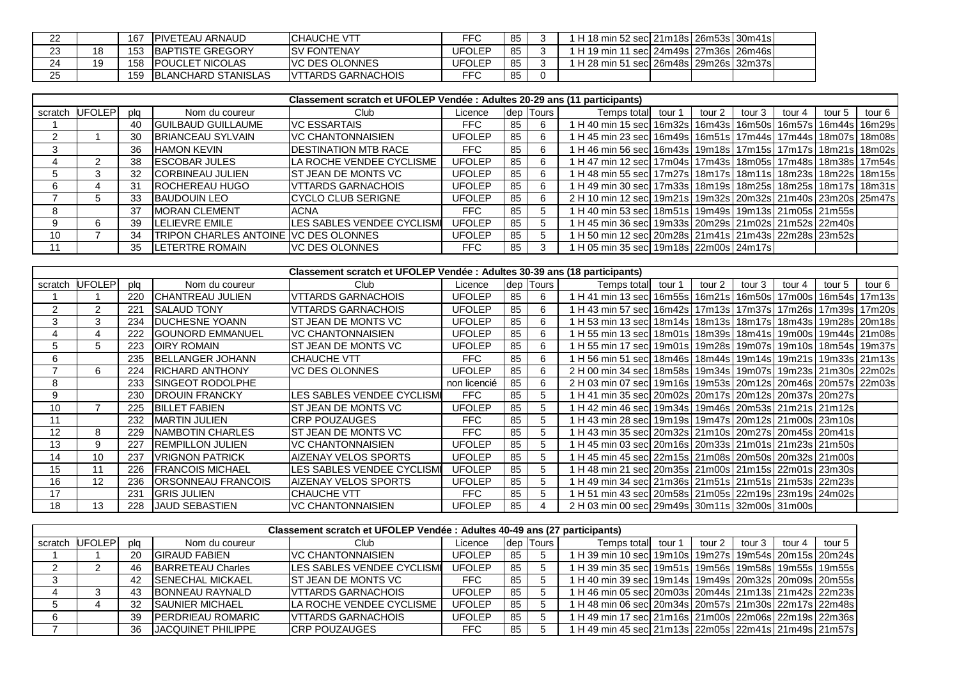| 22       |    | 167 | <b>IPIVETEAU ARNAUD</b> | ICHAUCHE VTT               | FFC    | 85 | 1 H 18 min 52 secl 21m18s l 26m53s l 30m41s l |  |  |
|----------|----|-----|-------------------------|----------------------------|--------|----|-----------------------------------------------|--|--|
| າາ<br>دے | 18 | 153 | <b>BAPTISTE GREGORY</b> | <b>ISV FONTENAY</b>        | JFOLEP | 85 | 1 H 19 min 11 sec 24m49s 27m36s 26m46s        |  |  |
| 24       | 19 | 158 | <b>IPOUCLET NICOLAS</b> | IVC DES OLONNES            | JFOLEP | 85 | 1 H 28 min 51 sec 26m48s 29m26s 32m37s        |  |  |
| 25       |    | 159 | BLANCHARD STANISLAS     | <b>IVTTARDS GARNACHOIS</b> | FFC    | 85 |                                               |  |  |

|         | Classement scratch et UFOLEP Vendée : Adultes 20-29 ans (11 participants) |     |                                       |                              |               |     |              |                                                                        |        |        |        |        |        |        |  |
|---------|---------------------------------------------------------------------------|-----|---------------------------------------|------------------------------|---------------|-----|--------------|------------------------------------------------------------------------|--------|--------|--------|--------|--------|--------|--|
| scratch | <b>UFOLEP</b>                                                             | plq | Nom du coureur                        | Club                         | Licence       | dep | <b>Tours</b> | Temps total                                                            | tour 1 | tour 2 | tour 3 | tour 4 | tour 5 | tour 6 |  |
|         |                                                                           | 40  | <b>IGUILBAUD GUILLAUME</b>            | <b>VC ESSARTAIS</b>          | FFC.          | 85  | 6            | ∣ H 40 min 15 sec  16m32s  16m43s  16m50s  16m57s  16m44s  16m29s      |        |        |        |        |        |        |  |
|         |                                                                           | 30  | <b>BRIANCEAU SYLVAIN</b>              | <b>VC CHANTONNAISIEN</b>     | <b>UFOLEP</b> | 85  |              | H 45 min 23 sec  16m49s   16m51s   17m44s   17m44s   18m07s   18m08s   |        |        |        |        |        |        |  |
|         |                                                                           | 36  | <b>HAMON KEVIN</b>                    | <b>IDESTINATION MTB RACE</b> | <b>FFC</b>    | 85  |              | 1 H 46 min 56 sec  16m43s   19m18s   17m15s   17m17s   18m21s   18m02s |        |        |        |        |        |        |  |
|         |                                                                           | 38  | <b>IESCOBAR JULES</b>                 | LA ROCHE VENDEE CYCLISME     | <b>UFOLEP</b> | 85  |              | ∣ H 47 min 12 sec  17m04s   17m43s   18m05s   17m48s   18m38s   17m54s |        |        |        |        |        |        |  |
|         |                                                                           | 32  | <b>CORBINEAU JULIEN</b>               | IST JEAN DE MONTS VC         | <b>UFOLEP</b> | 85  |              | H 48 min 55 sec  17m27s   18m17s   18m11s   18m23s   18m22s   18m15s   |        |        |        |        |        |        |  |
|         |                                                                           | 31  | <b>ROCHEREAU HUGO</b>                 | IVTTARDS GARNACHOIS          | <b>UFOLEP</b> | 85  |              | H 49 min 30 sec  17m33s   18m19s   18m25s   18m25s   18m17s   18m31s   |        |        |        |        |        |        |  |
|         |                                                                           | 33  | <b>BAUDOUIN LEO</b>                   | ICYCLO CLUB SERIGNE          | <b>UFOLEP</b> | 85  |              | 2 H 10 min 12 sec 19m21s 19m32s 20m32s 21m40s 23m20s 25m47s            |        |        |        |        |        |        |  |
|         |                                                                           | 37  | <b>IMORAN CLEMENT</b>                 | <b>ACNA</b>                  | FFC.          | 85  |              | H 40 min 53 sec  18m51s   19m49s   19m13s   21m05s   21m55s            |        |        |        |        |        |        |  |
|         |                                                                           | 39  | <b>LELIEVRE EMILE</b>                 | LES SABLES VENDEE CYCLISMI   | <b>UFOLEP</b> | 85  |              | 1 H 45 min 36 sec  19m33s   20m29s   21m02s   21m52s   22m40s          |        |        |        |        |        |        |  |
| 10      |                                                                           | 34  | TRIPON CHARLES ANTOINE VC DES OLONNES |                              | <b>UFOLEP</b> | 85  |              | H 50 min 12 sec 20m28s 21m41s 21m43s 22m28s 23m52s                     |        |        |        |        |        |        |  |
|         |                                                                           | 35  | <b>LETERTRE ROMAIN</b>                | <b>IVC DES OLONNES</b>       | <b>FFC</b>    | 85  |              | H 05 min 35 sec 19m18s 22m00s 24m17s                                   |        |        |        |        |        |        |  |

|         | Classement scratch et UFOLEP Vendée : Adultes 30-39 ans (18 participants) |     |                            |                             |               |    |           |                                                                        |        |        |        |        |        |        |
|---------|---------------------------------------------------------------------------|-----|----------------------------|-----------------------------|---------------|----|-----------|------------------------------------------------------------------------|--------|--------|--------|--------|--------|--------|
| scratch | <b>UFOLEPI</b>                                                            | pla | Nom du coureur             | Club                        | Licence       |    | dep Tours | Temps total                                                            | tour 1 | tour 2 | tour 3 | tour 4 | tour 5 | tour 6 |
|         |                                                                           | 220 | <b>ICHANTREAU JULIEN</b>   | <b>VITARDS GARNACHOIS</b>   | <b>UFOLEP</b> | 85 | 6         | 1 H 41 min 13 sec 16m55s 16m21s 16m50s 17m00s 16m54s 17m13s            |        |        |        |        |        |        |
|         | 2                                                                         | 221 | <b>SALAUD TONY</b>         | <b>VTTARDS GARNACHOIS</b>   | UFOLEP        | 85 | 6         | H 43 min 57 sec 16m42s 17m13s 17m37s 17m26s 17m39s 17m20s              |        |        |        |        |        |        |
|         | 3                                                                         | 234 | <b>DUCHESNE YOANN</b>      | ST JEAN DE MONTS VC         | <b>UFOLEP</b> | 85 | 6         | H 53 min 13 sec  18m14s   18m13s   18m17s   18m43s   19m28s   20m18s   |        |        |        |        |        |        |
|         | 4                                                                         | 222 | <b>IGOUNORD EMMANUEL</b>   | <b>VC CHANTONNAISIEN</b>    | <b>UFOLEP</b> | 85 | 6         | 1 H 55 min 13 sec  18m01s   18m39s   18m41s   19m00s   19m44s   21m08s |        |        |        |        |        |        |
| 5       | 5                                                                         | 223 | <b>OIRY ROMAIN</b>         | ST JEAN DE MONTS VC         | UFOLEP        | 85 | 6         | 1 H 55 min 17 sec  19m01s  19m28s  19m07s  19m10s  18m54s  19m37s      |        |        |        |        |        |        |
| 6       |                                                                           | 235 | BELLANGER JOHANN           | <b>CHAUCHE VTT</b>          | FFC           | 85 | 6         | 1 H 56 min 51 sec 18m46s 18m44s 19m14s 19m21s 19m33s 21m13s            |        |        |        |        |        |        |
|         | 6                                                                         | 224 | <b>IRICHARD ANTHONY</b>    | <b>VC DES OLONNES</b>       | <b>UFOLEP</b> | 85 | 6         | 2 H 00 min 34 sec 18m58s 19m34s 19m07s 19m23s 21m30s 22m02s            |        |        |        |        |        |        |
| 8       |                                                                           | 233 | ISINGEOT RODOLPHE          |                             | non licencié  | 85 | 6         | 2 H 03 min 07 sec 19m16s 19m53s 20m12s 20m46s 20m57s 22m03s            |        |        |        |        |        |        |
| 9       |                                                                           | 230 | <b>DROUIN FRANCKY</b>      | LES SABLES VENDEE CYCLISMI  | FFC           | 85 | 5         | 1 H 41 min 35 sec  20m02s   20m17s   20m12s   20m37s   20m27s          |        |        |        |        |        |        |
| 10      |                                                                           | 225 | <b>BILLET FABIEN</b>       | ST JEAN DE MONTS VC         | UFOLEP        | 85 | 5.        | 1 H 42 min 46 sec  19m34s   19m46s   20m53s   21m21s   21m12s          |        |        |        |        |        |        |
| 11      |                                                                           | 232 | <b>IMARTIN JULIEN</b>      | ICRP POUZAUGES              | FFC           | 85 | 5         | H 43 min 28 sec  19m19s   19m47s   20m12s   21m00s   23m10s            |        |        |        |        |        |        |
| 12      | 8                                                                         | 229 | <b>NAMBOTIN CHARLES</b>    | ST JEAN DE MONTS VC         | FFC           | 85 | 5         | H 43 min 35 sec  20m32s   21m10s   20m27s   20m45s   20m41s            |        |        |        |        |        |        |
| 13      | 9                                                                         | 227 | <b>REMPILLON JULIEN</b>    | <b>VC CHANTONNAISIEN</b>    | UFOLEP        | 85 | 5         | 1 H 45 min 03 sec  20m16s   20m33s   21m01s   21m23s   21m50s          |        |        |        |        |        |        |
| 14      | 10                                                                        | 237 | <b>VRIGNON PATRICK</b>     | <b>AIZENAY VELOS SPORTS</b> | <b>UFOLEP</b> | 85 | 5         | 1 H 45 min 45 sec  22m15s   21m08s   20m50s   20m32s   21m00s          |        |        |        |        |        |        |
| 15      | 11                                                                        | 226 | <b>IFRANCOIS MICHAEL</b>   | LES SABLES VENDEE CYCLISMI  | <b>UFOLEP</b> | 85 | 5         | H 48 min 21 sec 20m35s 21m00s 21m15s 22m01s 23m30s                     |        |        |        |        |        |        |
| 16      | 12                                                                        | 236 | <b>IORSONNEAU FRANCOIS</b> | <b>AIZENAY VELOS SPORTS</b> | <b>UFOLEP</b> | 85 | 5         | 1 H 49 min 34 sec  21m36s   21m51s   21m51s   21m53s   22m23s          |        |        |        |        |        |        |
| 17      |                                                                           | 231 | <b>GRIS JULIEN</b>         | ICHAUCHE VTT                | <b>FFC</b>    | 85 | 5         | 1 H 51 min 43 sec  20m58s   21m05s   22m19s   23m19s   24m02s          |        |        |        |        |        |        |
| 18      | 13                                                                        | 228 | <b>JAUD SEBASTIEN</b>      | <b>VC CHANTONNAISIEN</b>    | UFOLEP        | 85 |           | 2 H 03 min 00 sec 29m49s 30m11s 32m00s 31m00s                          |        |        |        |        |        |        |

|         | Classement scratch et UFOLEP Vendée : Adultes 40-49 ans (27 participants) |     |                           |                                    |               |    |             |                                                       |  |        |        |        |        |  |
|---------|---------------------------------------------------------------------------|-----|---------------------------|------------------------------------|---------------|----|-------------|-------------------------------------------------------|--|--------|--------|--------|--------|--|
| scratch | UFOLEP                                                                    | pla | Nom du coureur            | Club                               | Licence       |    | dep   Tours | Temps totall tour 1                                   |  | tour 2 | tour 3 | tour 4 | tour 5 |  |
|         |                                                                           | 20  | <b>GIRAUD FABIEN</b>      | IVC CHANTONNAISIEN                 | <b>UFOLEP</b> | 85 |             | 1 H 39 min 10 sec 19m10s 19m27s 19m54s 20m15s 20m24s  |  |        |        |        |        |  |
|         |                                                                           | 46  | <b>BARRETEAU Charles</b>  | <b>ILES SABLES VENDEE CYCLISMI</b> | <b>UFOLEP</b> | 85 |             | 1 H 39 min 35 sec 19m51s 19m56s 19m58s 19m55s 19m55s  |  |        |        |        |        |  |
|         |                                                                           | 42  | <b>ISENECHAL MICKAEL</b>  | <b>IST JEAN DE MONTS VC</b>        | FFC           | 85 |             | 1 H 40 min 39 sec 19m14s 19m49s 20m32s 20m09s 20m55s  |  |        |        |        |        |  |
|         |                                                                           | 43  | <b>BONNEAU RAYNALD</b>    | <b>VITARDS GARNACHOIS</b>          | <b>UFOLEP</b> | 85 |             | 1 H 46 min 05 sec 20m03s 20m44s 21m13s 21m42s 22m23s  |  |        |        |        |        |  |
|         |                                                                           | 32  | <b>SAUNIER MICHAEL</b>    | LA ROCHE VENDEE CYCLISME           | <b>UFOLEP</b> | 85 |             | 1 H 48 min 06 secl 20m34s 20m57s 21m30s 22m17s 22m48s |  |        |        |        |        |  |
|         |                                                                           | 39  | <b>IPERDRIEAU ROMARIC</b> | <b>VITARDS GARNACHOIS</b>          | <b>UFOLEP</b> | 85 |             | 1 H 49 min 17 secl 21m16s 21m00s 22m06s 22m19s 22m36s |  |        |        |        |        |  |
|         |                                                                           | 36  | <b>JACQUINET PHILIPPE</b> | <b>ICRP POUZAUGES</b>              | FFC           | 85 |             | 1 H 49 min 45 sec 21m13s 22m05s 22m41s 21m49s 21m57s  |  |        |        |        |        |  |